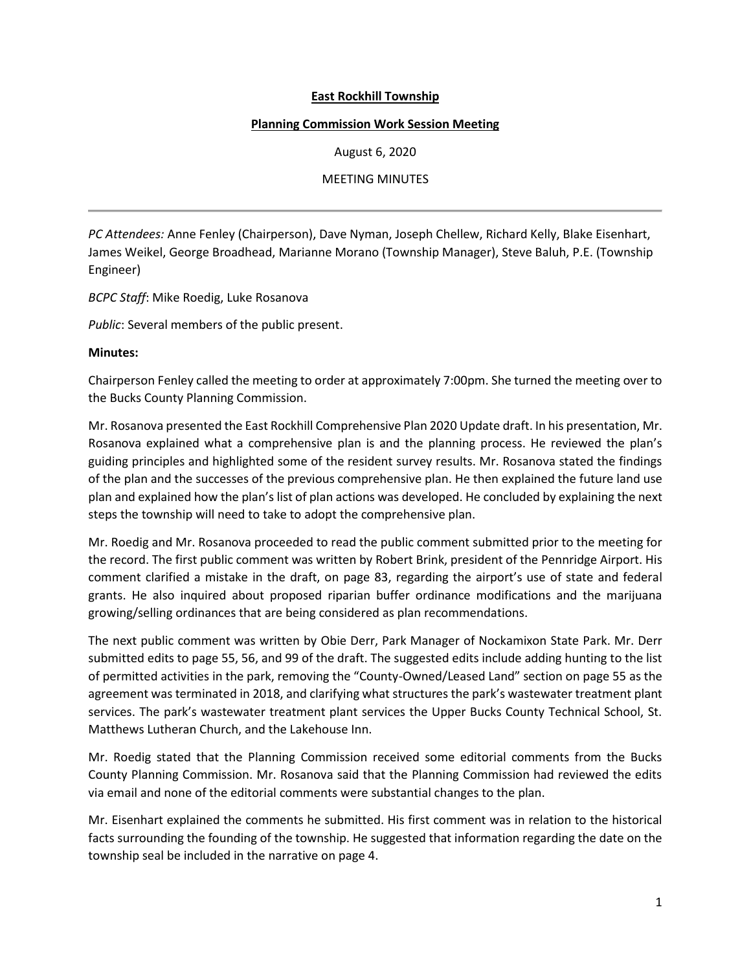## **East Rockhill Township**

## **Planning Commission Work Session Meeting**

August 6, 2020

MEETING MINUTES

*PC Attendees:* Anne Fenley (Chairperson), Dave Nyman, Joseph Chellew, Richard Kelly, Blake Eisenhart, James Weikel, George Broadhead, Marianne Morano (Township Manager), Steve Baluh, P.E. (Township Engineer)

*BCPC Staff*: Mike Roedig, Luke Rosanova

*Public*: Several members of the public present.

## **Minutes:**

Chairperson Fenley called the meeting to order at approximately 7:00pm. She turned the meeting over to the Bucks County Planning Commission.

Mr. Rosanova presented the East Rockhill Comprehensive Plan 2020 Update draft. In his presentation, Mr. Rosanova explained what a comprehensive plan is and the planning process. He reviewed the plan's guiding principles and highlighted some of the resident survey results. Mr. Rosanova stated the findings of the plan and the successes of the previous comprehensive plan. He then explained the future land use plan and explained how the plan's list of plan actions was developed. He concluded by explaining the next steps the township will need to take to adopt the comprehensive plan.

Mr. Roedig and Mr. Rosanova proceeded to read the public comment submitted prior to the meeting for the record. The first public comment was written by Robert Brink, president of the Pennridge Airport. His comment clarified a mistake in the draft, on page 83, regarding the airport's use of state and federal grants. He also inquired about proposed riparian buffer ordinance modifications and the marijuana growing/selling ordinances that are being considered as plan recommendations.

The next public comment was written by Obie Derr, Park Manager of Nockamixon State Park. Mr. Derr submitted edits to page 55, 56, and 99 of the draft. The suggested edits include adding hunting to the list of permitted activities in the park, removing the "County-Owned/Leased Land" section on page 55 as the agreement was terminated in 2018, and clarifying what structures the park's wastewater treatment plant services. The park's wastewater treatment plant services the Upper Bucks County Technical School, St. Matthews Lutheran Church, and the Lakehouse Inn.

Mr. Roedig stated that the Planning Commission received some editorial comments from the Bucks County Planning Commission. Mr. Rosanova said that the Planning Commission had reviewed the edits via email and none of the editorial comments were substantial changes to the plan.

Mr. Eisenhart explained the comments he submitted. His first comment was in relation to the historical facts surrounding the founding of the township. He suggested that information regarding the date on the township seal be included in the narrative on page 4.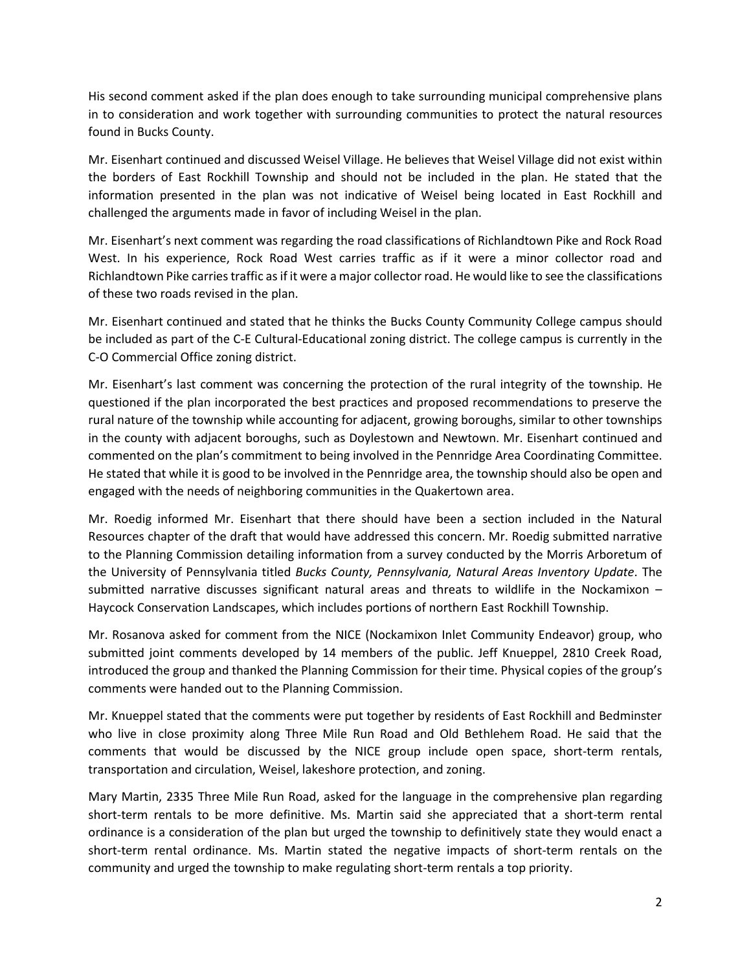His second comment asked if the plan does enough to take surrounding municipal comprehensive plans in to consideration and work together with surrounding communities to protect the natural resources found in Bucks County.

Mr. Eisenhart continued and discussed Weisel Village. He believes that Weisel Village did not exist within the borders of East Rockhill Township and should not be included in the plan. He stated that the information presented in the plan was not indicative of Weisel being located in East Rockhill and challenged the arguments made in favor of including Weisel in the plan.

Mr. Eisenhart's next comment was regarding the road classifications of Richlandtown Pike and Rock Road West. In his experience, Rock Road West carries traffic as if it were a minor collector road and Richlandtown Pike carries traffic as if it were a major collector road. He would like to see the classifications of these two roads revised in the plan.

Mr. Eisenhart continued and stated that he thinks the Bucks County Community College campus should be included as part of the C-E Cultural-Educational zoning district. The college campus is currently in the C-O Commercial Office zoning district.

Mr. Eisenhart's last comment was concerning the protection of the rural integrity of the township. He questioned if the plan incorporated the best practices and proposed recommendations to preserve the rural nature of the township while accounting for adjacent, growing boroughs, similar to other townships in the county with adjacent boroughs, such as Doylestown and Newtown. Mr. Eisenhart continued and commented on the plan's commitment to being involved in the Pennridge Area Coordinating Committee. He stated that while it is good to be involved in the Pennridge area, the township should also be open and engaged with the needs of neighboring communities in the Quakertown area.

Mr. Roedig informed Mr. Eisenhart that there should have been a section included in the Natural Resources chapter of the draft that would have addressed this concern. Mr. Roedig submitted narrative to the Planning Commission detailing information from a survey conducted by the Morris Arboretum of the University of Pennsylvania titled *Bucks County, Pennsylvania, Natural Areas Inventory Update*. The submitted narrative discusses significant natural areas and threats to wildlife in the Nockamixon – Haycock Conservation Landscapes, which includes portions of northern East Rockhill Township.

Mr. Rosanova asked for comment from the NICE (Nockamixon Inlet Community Endeavor) group, who submitted joint comments developed by 14 members of the public. Jeff Knueppel, 2810 Creek Road, introduced the group and thanked the Planning Commission for their time. Physical copies of the group's comments were handed out to the Planning Commission.

Mr. Knueppel stated that the comments were put together by residents of East Rockhill and Bedminster who live in close proximity along Three Mile Run Road and Old Bethlehem Road. He said that the comments that would be discussed by the NICE group include open space, short-term rentals, transportation and circulation, Weisel, lakeshore protection, and zoning.

Mary Martin, 2335 Three Mile Run Road, asked for the language in the comprehensive plan regarding short-term rentals to be more definitive. Ms. Martin said she appreciated that a short-term rental ordinance is a consideration of the plan but urged the township to definitively state they would enact a short-term rental ordinance. Ms. Martin stated the negative impacts of short-term rentals on the community and urged the township to make regulating short-term rentals a top priority.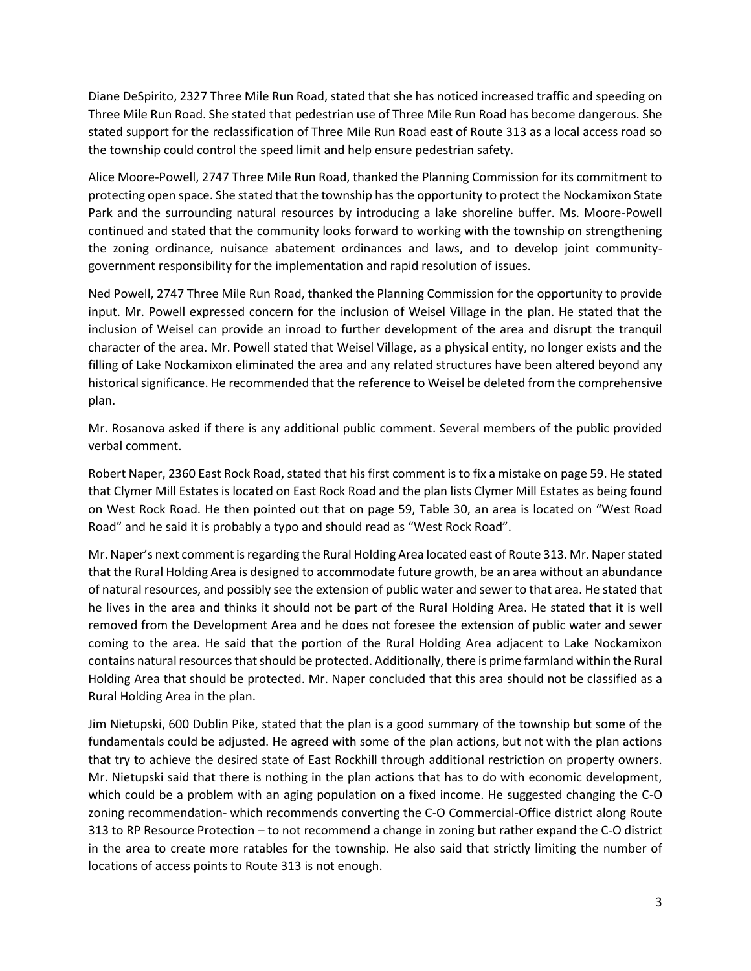Diane DeSpirito, 2327 Three Mile Run Road, stated that she has noticed increased traffic and speeding on Three Mile Run Road. She stated that pedestrian use of Three Mile Run Road has become dangerous. She stated support for the reclassification of Three Mile Run Road east of Route 313 as a local access road so the township could control the speed limit and help ensure pedestrian safety.

Alice Moore-Powell, 2747 Three Mile Run Road, thanked the Planning Commission for its commitment to protecting open space. She stated that the township has the opportunity to protect the Nockamixon State Park and the surrounding natural resources by introducing a lake shoreline buffer. Ms. Moore-Powell continued and stated that the community looks forward to working with the township on strengthening the zoning ordinance, nuisance abatement ordinances and laws, and to develop joint communitygovernment responsibility for the implementation and rapid resolution of issues.

Ned Powell, 2747 Three Mile Run Road, thanked the Planning Commission for the opportunity to provide input. Mr. Powell expressed concern for the inclusion of Weisel Village in the plan. He stated that the inclusion of Weisel can provide an inroad to further development of the area and disrupt the tranquil character of the area. Mr. Powell stated that Weisel Village, as a physical entity, no longer exists and the filling of Lake Nockamixon eliminated the area and any related structures have been altered beyond any historical significance. He recommended that the reference to Weisel be deleted from the comprehensive plan.

Mr. Rosanova asked if there is any additional public comment. Several members of the public provided verbal comment.

Robert Naper, 2360 East Rock Road, stated that his first comment is to fix a mistake on page 59. He stated that Clymer Mill Estates is located on East Rock Road and the plan lists Clymer Mill Estates as being found on West Rock Road. He then pointed out that on page 59, Table 30, an area is located on "West Road Road" and he said it is probably a typo and should read as "West Rock Road".

Mr. Naper's next comment is regarding the Rural Holding Area located east of Route 313. Mr. Naper stated that the Rural Holding Area is designed to accommodate future growth, be an area without an abundance of natural resources, and possibly see the extension of public water and sewer to that area. He stated that he lives in the area and thinks it should not be part of the Rural Holding Area. He stated that it is well removed from the Development Area and he does not foresee the extension of public water and sewer coming to the area. He said that the portion of the Rural Holding Area adjacent to Lake Nockamixon contains natural resources that should be protected. Additionally, there is prime farmland within the Rural Holding Area that should be protected. Mr. Naper concluded that this area should not be classified as a Rural Holding Area in the plan.

Jim Nietupski, 600 Dublin Pike, stated that the plan is a good summary of the township but some of the fundamentals could be adjusted. He agreed with some of the plan actions, but not with the plan actions that try to achieve the desired state of East Rockhill through additional restriction on property owners. Mr. Nietupski said that there is nothing in the plan actions that has to do with economic development, which could be a problem with an aging population on a fixed income. He suggested changing the C-O zoning recommendation- which recommends converting the C-O Commercial-Office district along Route 313 to RP Resource Protection – to not recommend a change in zoning but rather expand the C-O district in the area to create more ratables for the township. He also said that strictly limiting the number of locations of access points to Route 313 is not enough.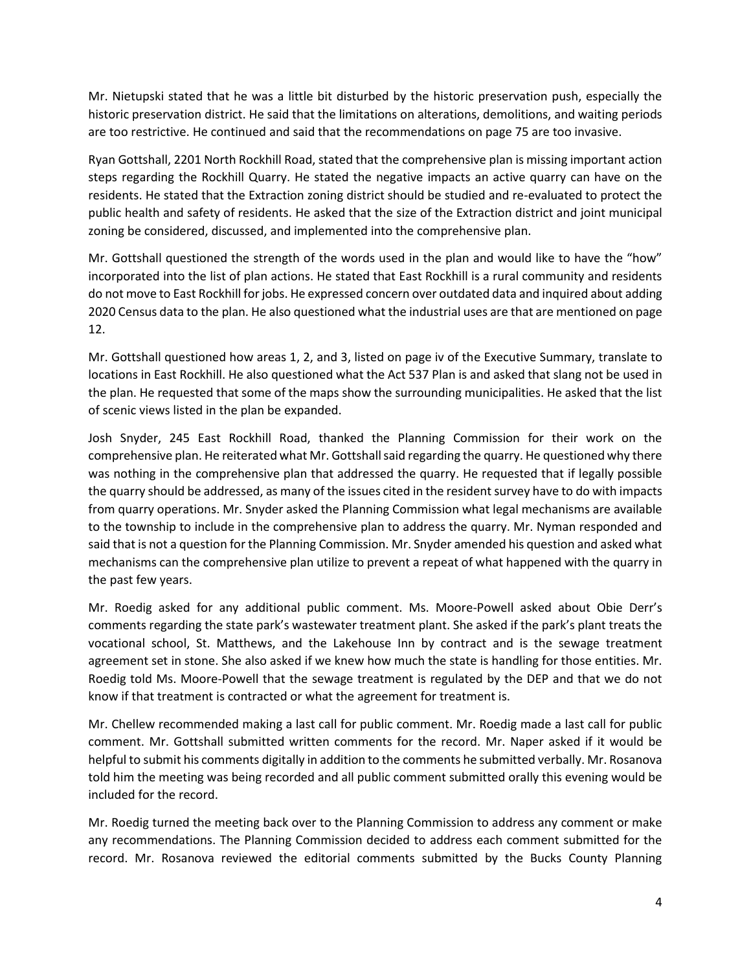Mr. Nietupski stated that he was a little bit disturbed by the historic preservation push, especially the historic preservation district. He said that the limitations on alterations, demolitions, and waiting periods are too restrictive. He continued and said that the recommendations on page 75 are too invasive.

Ryan Gottshall, 2201 North Rockhill Road, stated that the comprehensive plan is missing important action steps regarding the Rockhill Quarry. He stated the negative impacts an active quarry can have on the residents. He stated that the Extraction zoning district should be studied and re-evaluated to protect the public health and safety of residents. He asked that the size of the Extraction district and joint municipal zoning be considered, discussed, and implemented into the comprehensive plan.

Mr. Gottshall questioned the strength of the words used in the plan and would like to have the "how" incorporated into the list of plan actions. He stated that East Rockhill is a rural community and residents do not move to East Rockhill for jobs. He expressed concern over outdated data and inquired about adding 2020 Census data to the plan. He also questioned what the industrial uses are that are mentioned on page 12.

Mr. Gottshall questioned how areas 1, 2, and 3, listed on page iv of the Executive Summary, translate to locations in East Rockhill. He also questioned what the Act 537 Plan is and asked that slang not be used in the plan. He requested that some of the maps show the surrounding municipalities. He asked that the list of scenic views listed in the plan be expanded.

Josh Snyder, 245 East Rockhill Road, thanked the Planning Commission for their work on the comprehensive plan. He reiterated what Mr. Gottshall said regarding the quarry. He questioned why there was nothing in the comprehensive plan that addressed the quarry. He requested that if legally possible the quarry should be addressed, as many of the issues cited in the resident survey have to do with impacts from quarry operations. Mr. Snyder asked the Planning Commission what legal mechanisms are available to the township to include in the comprehensive plan to address the quarry. Mr. Nyman responded and said that is not a question for the Planning Commission. Mr. Snyder amended his question and asked what mechanisms can the comprehensive plan utilize to prevent a repeat of what happened with the quarry in the past few years.

Mr. Roedig asked for any additional public comment. Ms. Moore-Powell asked about Obie Derr's comments regarding the state park's wastewater treatment plant. She asked if the park's plant treats the vocational school, St. Matthews, and the Lakehouse Inn by contract and is the sewage treatment agreement set in stone. She also asked if we knew how much the state is handling for those entities. Mr. Roedig told Ms. Moore-Powell that the sewage treatment is regulated by the DEP and that we do not know if that treatment is contracted or what the agreement for treatment is.

Mr. Chellew recommended making a last call for public comment. Mr. Roedig made a last call for public comment. Mr. Gottshall submitted written comments for the record. Mr. Naper asked if it would be helpful to submit his comments digitally in addition to the comments he submitted verbally. Mr. Rosanova told him the meeting was being recorded and all public comment submitted orally this evening would be included for the record.

Mr. Roedig turned the meeting back over to the Planning Commission to address any comment or make any recommendations. The Planning Commission decided to address each comment submitted for the record. Mr. Rosanova reviewed the editorial comments submitted by the Bucks County Planning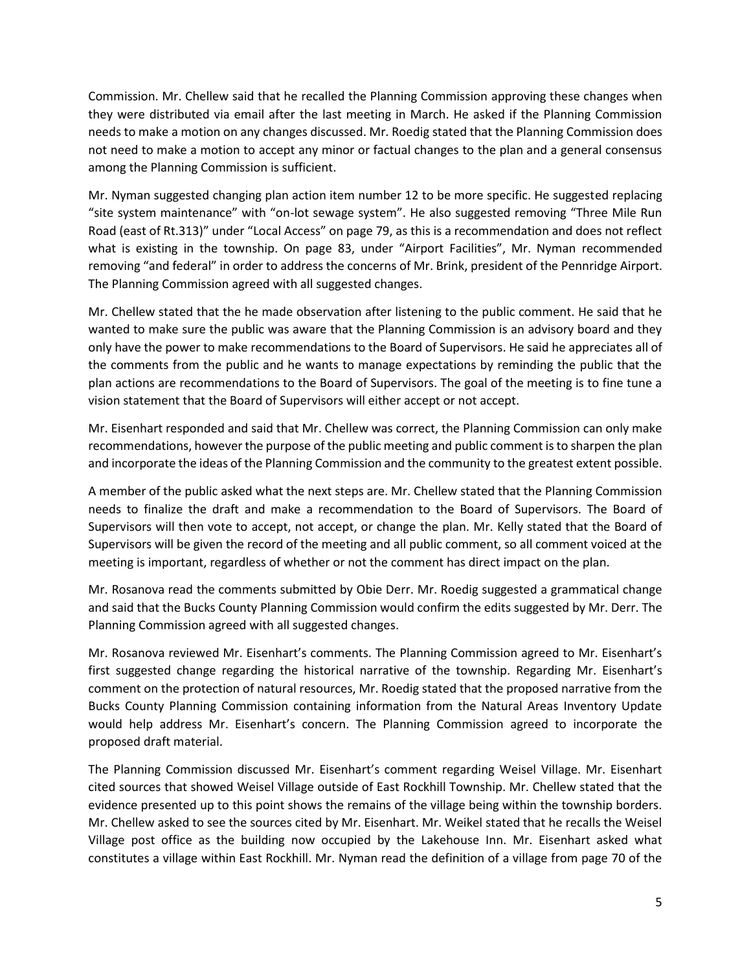Commission. Mr. Chellew said that he recalled the Planning Commission approving these changes when they were distributed via email after the last meeting in March. He asked if the Planning Commission needs to make a motion on any changes discussed. Mr. Roedig stated that the Planning Commission does not need to make a motion to accept any minor or factual changes to the plan and a general consensus among the Planning Commission is sufficient.

Mr. Nyman suggested changing plan action item number 12 to be more specific. He suggested replacing "site system maintenance" with "on-lot sewage system". He also suggested removing "Three Mile Run Road (east of Rt.313)" under "Local Access" on page 79, as this is a recommendation and does not reflect what is existing in the township. On page 83, under "Airport Facilities", Mr. Nyman recommended removing "and federal" in order to address the concerns of Mr. Brink, president of the Pennridge Airport. The Planning Commission agreed with all suggested changes.

Mr. Chellew stated that the he made observation after listening to the public comment. He said that he wanted to make sure the public was aware that the Planning Commission is an advisory board and they only have the power to make recommendations to the Board of Supervisors. He said he appreciates all of the comments from the public and he wants to manage expectations by reminding the public that the plan actions are recommendations to the Board of Supervisors. The goal of the meeting is to fine tune a vision statement that the Board of Supervisors will either accept or not accept.

Mr. Eisenhart responded and said that Mr. Chellew was correct, the Planning Commission can only make recommendations, however the purpose of the public meeting and public comment is to sharpen the plan and incorporate the ideas of the Planning Commission and the community to the greatest extent possible.

A member of the public asked what the next steps are. Mr. Chellew stated that the Planning Commission needs to finalize the draft and make a recommendation to the Board of Supervisors. The Board of Supervisors will then vote to accept, not accept, or change the plan. Mr. Kelly stated that the Board of Supervisors will be given the record of the meeting and all public comment, so all comment voiced at the meeting is important, regardless of whether or not the comment has direct impact on the plan.

Mr. Rosanova read the comments submitted by Obie Derr. Mr. Roedig suggested a grammatical change and said that the Bucks County Planning Commission would confirm the edits suggested by Mr. Derr. The Planning Commission agreed with all suggested changes.

Mr. Rosanova reviewed Mr. Eisenhart's comments. The Planning Commission agreed to Mr. Eisenhart's first suggested change regarding the historical narrative of the township. Regarding Mr. Eisenhart's comment on the protection of natural resources, Mr. Roedig stated that the proposed narrative from the Bucks County Planning Commission containing information from the Natural Areas Inventory Update would help address Mr. Eisenhart's concern. The Planning Commission agreed to incorporate the proposed draft material.

The Planning Commission discussed Mr. Eisenhart's comment regarding Weisel Village. Mr. Eisenhart cited sources that showed Weisel Village outside of East Rockhill Township. Mr. Chellew stated that the evidence presented up to this point shows the remains of the village being within the township borders. Mr. Chellew asked to see the sources cited by Mr. Eisenhart. Mr. Weikel stated that he recalls the Weisel Village post office as the building now occupied by the Lakehouse Inn. Mr. Eisenhart asked what constitutes a village within East Rockhill. Mr. Nyman read the definition of a village from page 70 of the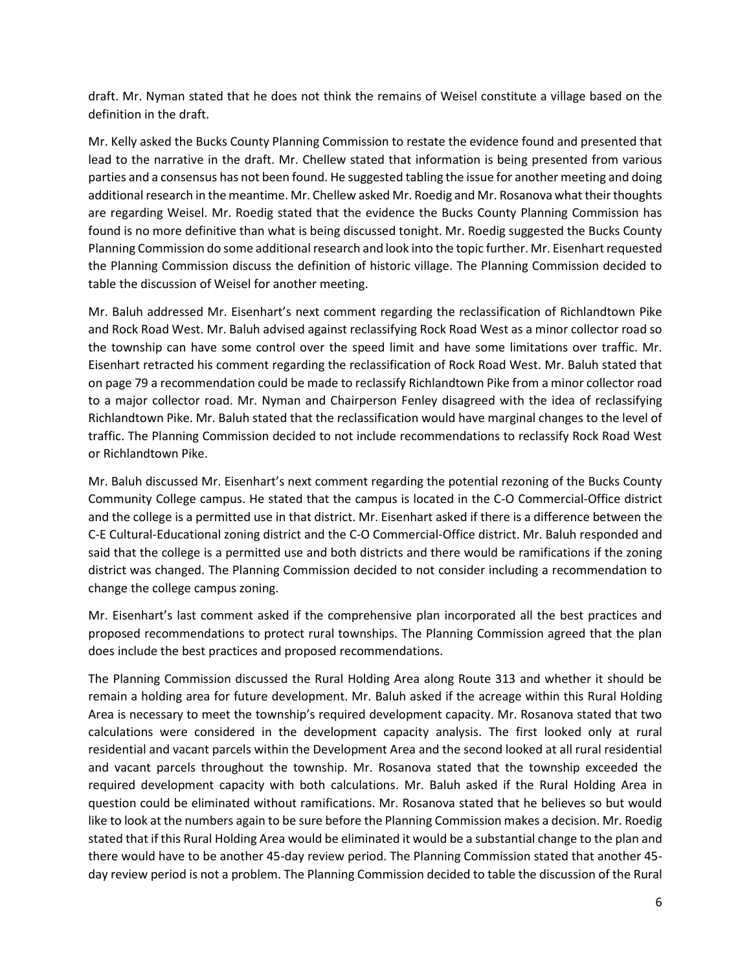draft. Mr. Nyman stated that he does not think the remains of Weisel constitute a village based on the definition in the draft.

Mr. Kelly asked the Bucks County Planning Commission to restate the evidence found and presented that lead to the narrative in the draft. Mr. Chellew stated that information is being presented from various parties and a consensus has not been found. He suggested tabling the issue for another meeting and doing additional research in the meantime. Mr. Chellew asked Mr. Roedig and Mr. Rosanova what their thoughts are regarding Weisel. Mr. Roedig stated that the evidence the Bucks County Planning Commission has found is no more definitive than what is being discussed tonight. Mr. Roedig suggested the Bucks County Planning Commission do some additional research and look into the topic further. Mr. Eisenhart requested the Planning Commission discuss the definition of historic village. The Planning Commission decided to table the discussion of Weisel for another meeting.

Mr. Baluh addressed Mr. Eisenhart's next comment regarding the reclassification of Richlandtown Pike and Rock Road West. Mr. Baluh advised against reclassifying Rock Road West as a minor collector road so the township can have some control over the speed limit and have some limitations over traffic. Mr. Eisenhart retracted his comment regarding the reclassification of Rock Road West. Mr. Baluh stated that on page 79 a recommendation could be made to reclassify Richlandtown Pike from a minor collector road to a major collector road. Mr. Nyman and Chairperson Fenley disagreed with the idea of reclassifying Richlandtown Pike. Mr. Baluh stated that the reclassification would have marginal changes to the level of traffic. The Planning Commission decided to not include recommendations to reclassify Rock Road West or Richlandtown Pike.

Mr. Baluh discussed Mr. Eisenhart's next comment regarding the potential rezoning of the Bucks County Community College campus. He stated that the campus is located in the C-O Commercial-Office district and the college is a permitted use in that district. Mr. Eisenhart asked if there is a difference between the C-E Cultural-Educational zoning district and the C-O Commercial-Office district. Mr. Baluh responded and said that the college is a permitted use and both districts and there would be ramifications if the zoning district was changed. The Planning Commission decided to not consider including a recommendation to change the college campus zoning.

Mr. Eisenhart's last comment asked if the comprehensive plan incorporated all the best practices and proposed recommendations to protect rural townships. The Planning Commission agreed that the plan does include the best practices and proposed recommendations.

The Planning Commission discussed the Rural Holding Area along Route 313 and whether it should be remain a holding area for future development. Mr. Baluh asked if the acreage within this Rural Holding Area is necessary to meet the township's required development capacity. Mr. Rosanova stated that two calculations were considered in the development capacity analysis. The first looked only at rural residential and vacant parcels within the Development Area and the second looked at all rural residential and vacant parcels throughout the township. Mr. Rosanova stated that the township exceeded the required development capacity with both calculations. Mr. Baluh asked if the Rural Holding Area in question could be eliminated without ramifications. Mr. Rosanova stated that he believes so but would like to look at the numbers again to be sure before the Planning Commission makes a decision. Mr. Roedig stated that if this Rural Holding Area would be eliminated it would be a substantial change to the plan and there would have to be another 45-day review period. The Planning Commission stated that another 45 day review period is not a problem. The Planning Commission decided to table the discussion of the Rural